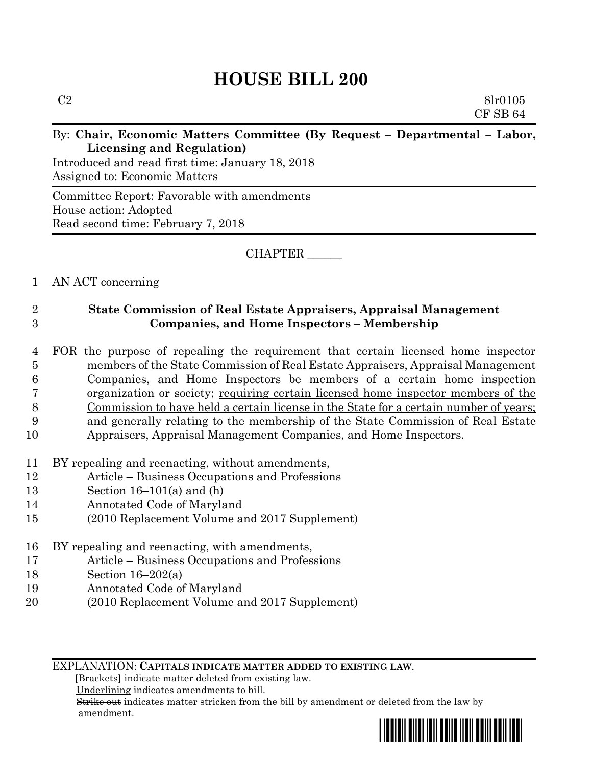## **HOUSE BILL 200**

| C <sub>2</sub> | 8 <sub>lr</sub> 0105                                                      |
|----------------|---------------------------------------------------------------------------|
|                | CFSB64                                                                    |
|                | By: Chair, Economic Matters Committee (By Request – Departmental – Labor, |
|                | Licensing and Regulation                                                  |

Introduced and read first time: January 18, 2018 Assigned to: Economic Matters

Committee Report: Favorable with amendments House action: Adopted Read second time: February 7, 2018

CHAPTER \_\_\_\_\_\_

## 1 AN ACT concerning

## 2 **State Commission of Real Estate Appraisers, Appraisal Management**  3 **Companies, and Home Inspectors – Membership**

- 4 FOR the purpose of repealing the requirement that certain licensed home inspector 5 members of the State Commission of Real Estate Appraisers, Appraisal Management 6 Companies, and Home Inspectors be members of a certain home inspection 7 organization or society; requiring certain licensed home inspector members of the 8 Commission to have held a certain license in the State for a certain number of years; 9 and generally relating to the membership of the State Commission of Real Estate 10 Appraisers, Appraisal Management Companies, and Home Inspectors.
- 11 BY repealing and reenacting, without amendments,
- 12 Article Business Occupations and Professions
- 13 Section 16–101(a) and (h)
- 14 Annotated Code of Maryland
- 15 (2010 Replacement Volume and 2017 Supplement)
- 16 BY repealing and reenacting, with amendments,
- 17 Article Business Occupations and Professions
- 18 Section 16–202(a)
- 19 Annotated Code of Maryland
- 20 (2010 Replacement Volume and 2017 Supplement)

EXPLANATION: **CAPITALS INDICATE MATTER ADDED TO EXISTING LAW**.

 **[**Brackets**]** indicate matter deleted from existing law.

Underlining indicates amendments to bill.

 Strike out indicates matter stricken from the bill by amendment or deleted from the law by amendment.

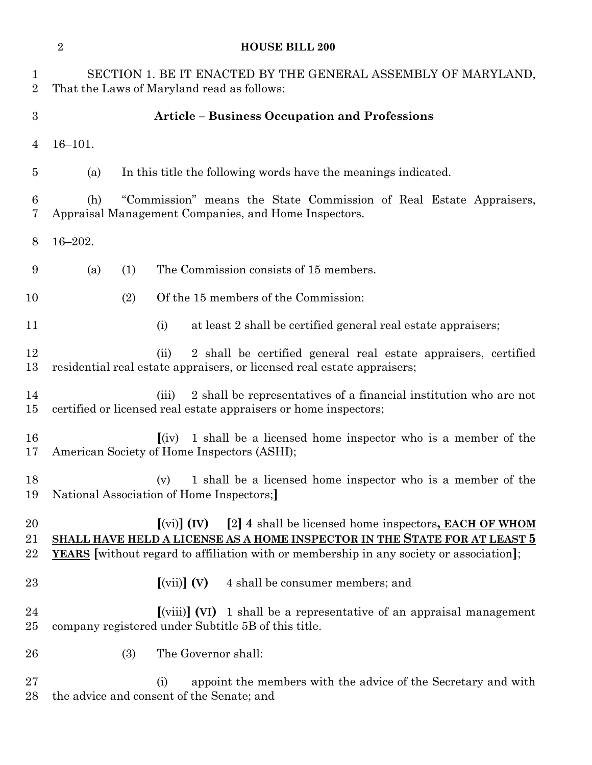| $\sqrt{2}$<br><b>HOUSE BILL 200</b> |             |                                                                                                                                                                                                                                                                                                   |  |
|-------------------------------------|-------------|---------------------------------------------------------------------------------------------------------------------------------------------------------------------------------------------------------------------------------------------------------------------------------------------------|--|
| $\mathbf{1}$<br>$\overline{2}$      |             | SECTION 1. BE IT ENACTED BY THE GENERAL ASSEMBLY OF MARYLAND,<br>That the Laws of Maryland read as follows:                                                                                                                                                                                       |  |
| $\sqrt{3}$                          |             | <b>Article - Business Occupation and Professions</b>                                                                                                                                                                                                                                              |  |
| $\overline{4}$                      | $16 - 101.$ |                                                                                                                                                                                                                                                                                                   |  |
| $\overline{5}$                      | (a)         | In this title the following words have the meanings indicated.                                                                                                                                                                                                                                    |  |
| $\boldsymbol{6}$<br>7               | (h)         | "Commission" means the State Commission of Real Estate Appraisers,<br>Appraisal Management Companies, and Home Inspectors.                                                                                                                                                                        |  |
| 8                                   | $16 - 202.$ |                                                                                                                                                                                                                                                                                                   |  |
| 9                                   | (a)<br>(1)  | The Commission consists of 15 members.                                                                                                                                                                                                                                                            |  |
| 10                                  | (2)         | Of the 15 members of the Commission:                                                                                                                                                                                                                                                              |  |
| 11                                  |             | at least 2 shall be certified general real estate appraisers;<br>(i)                                                                                                                                                                                                                              |  |
| 12<br>13                            |             | 2 shall be certified general real estate appraisers, certified<br>(ii)<br>residential real estate appraisers, or licensed real estate appraisers;                                                                                                                                                 |  |
| 14<br>15                            |             | 2 shall be representatives of a financial institution who are not<br>(iii)<br>certified or licensed real estate appraisers or home inspectors;                                                                                                                                                    |  |
| 16<br>17                            |             | 1 shall be a licensed home inspector who is a member of the<br>(iv)<br>American Society of Home Inspectors (ASHI);                                                                                                                                                                                |  |
| 18<br>19                            |             | 1 shall be a licensed home inspector who is a member of the<br>(v)<br>National Association of Home Inspectors;                                                                                                                                                                                    |  |
| 20<br>21<br>$\bf 22$                |             | [2] 4 shall be licensed home inspectors, <b>EACH OF WHOM</b><br>$\left[\text{(vi)}\right]$ $\left(\text{IV}\right)$<br>SHALL HAVE HELD A LICENSE AS A HOME INSPECTOR IN THE STATE FOR AT LEAST 5<br><b>YEARS</b> without regard to affiliation with or membership in any society or association]; |  |
| 23                                  |             | $\left[\text{(vii)}\right]$ $\left(\text{V}\right)$<br>4 shall be consumer members; and                                                                                                                                                                                                           |  |
| 24<br>25                            |             | $\left[\text{(viii)}\right]$ (VI) 1 shall be a representative of an appraisal management<br>company registered under Subtitle 5B of this title.                                                                                                                                                   |  |
| 26                                  | (3)         | The Governor shall:                                                                                                                                                                                                                                                                               |  |
| 27<br>28                            |             | appoint the members with the advice of the Secretary and with<br>(i)<br>the advice and consent of the Senate; and                                                                                                                                                                                 |  |